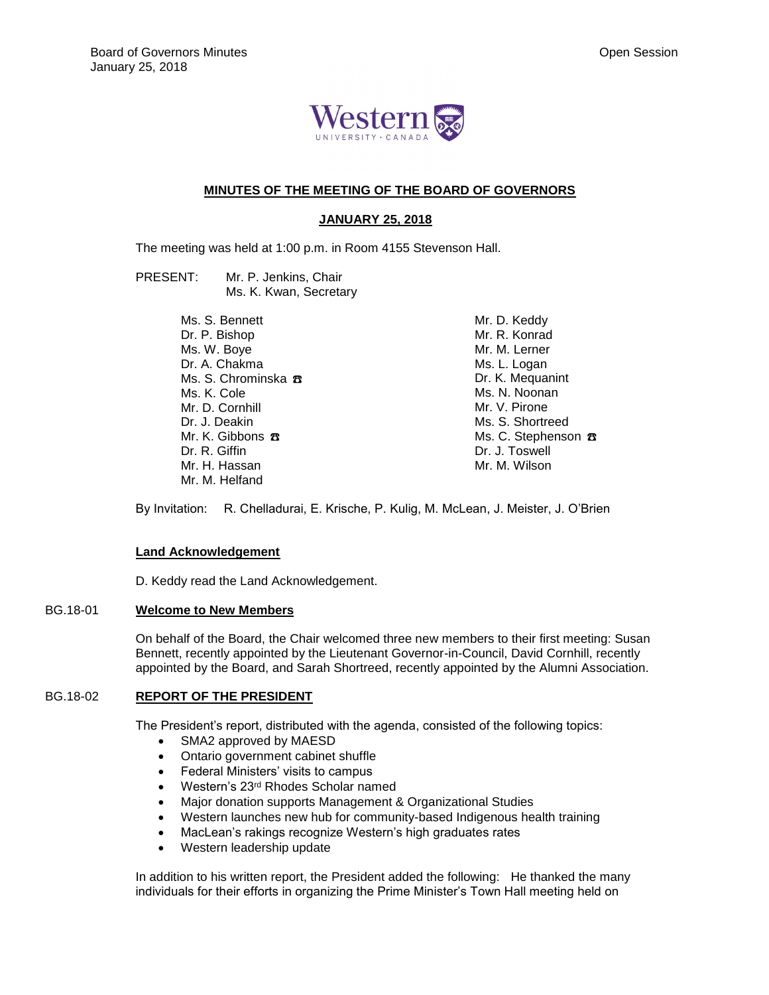

# **MINUTES OF THE MEETING OF THE BOARD OF GOVERNORS**

### **JANUARY 25, 2018**

The meeting was held at 1:00 p.m. in Room 4155 Stevenson Hall.

- PRESENT: Mr. P. Jenkins, Chair Ms. K. Kwan, Secretary
	- Ms. S. Bennett Dr. P. Bishop Ms. W. Boye Dr. A. Chakma Ms. S. Chrominska <del>ス</del> Ms. K. Cole Mr. D. Cornhill Dr. J. Deakin Mr. K. Gibbons **☎** Dr. R. Giffin Mr. H. Hassan Mr. M. Helfand

Mr. D. Keddy Mr. R. Konrad Mr. M. Lerner Ms. L. Logan Dr. K. Mequanint Ms. N. Noonan Mr. V. Pirone Ms. S. Shortreed Ms. C. Stephenson **B** Dr. J. Toswell Mr. M. Wilson

By Invitation: R. Chelladurai, E. Krische, P. Kulig, M. McLean, J. Meister, J. O'Brien

### **Land Acknowledgement**

D. Keddy read the Land Acknowledgement.

#### BG.18-01 **Welcome to New Members**

On behalf of the Board, the Chair welcomed three new members to their first meeting: Susan Bennett, recently appointed by the Lieutenant Governor-in-Council, David Cornhill, recently appointed by the Board, and Sarah Shortreed, recently appointed by the Alumni Association.

### BG.18-02 **REPORT OF THE PRESIDENT**

The President's report, distributed with the agenda, consisted of the following topics:

- SMA2 approved by MAESD
- Ontario government cabinet shuffle
- Federal Ministers' visits to campus
- Western's 23<sup>rd</sup> Rhodes Scholar named
- Major donation supports Management & Organizational Studies
- Western launches new hub for community-based Indigenous health training
- MacLean's rakings recognize Western's high graduates rates
- Western leadership update

In addition to his written report, the President added the following: He thanked the many individuals for their efforts in organizing the Prime Minister's Town Hall meeting held on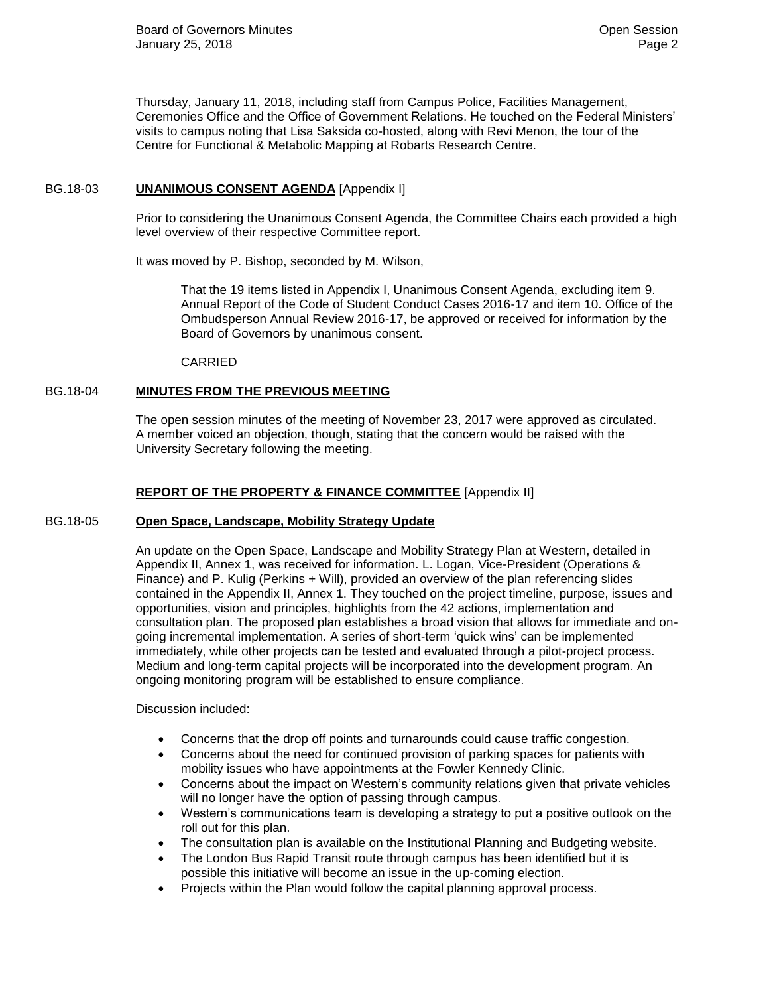Thursday, January 11, 2018, including staff from Campus Police, Facilities Management, Ceremonies Office and the Office of Government Relations. He touched on the Federal Ministers' visits to campus noting that Lisa Saksida co-hosted, along with Revi Menon, the tour of the Centre for Functional & Metabolic Mapping at Robarts Research Centre.

## BG.18-03 **UNANIMOUS CONSENT AGENDA** [Appendix I]

Prior to considering the Unanimous Consent Agenda, the Committee Chairs each provided a high level overview of their respective Committee report.

It was moved by P. Bishop, seconded by M. Wilson,

That the 19 items listed in Appendix I, Unanimous Consent Agenda, excluding item 9. Annual Report of the Code of Student Conduct Cases 2016-17 and item 10. Office of the Ombudsperson Annual Review 2016-17, be approved or received for information by the Board of Governors by unanimous consent.

CARRIED

## BG.18-04 **MINUTES FROM THE PREVIOUS MEETING**

The open session minutes of the meeting of November 23, 2017 were approved as circulated. A member voiced an objection, though, stating that the concern would be raised with the University Secretary following the meeting.

## **REPORT OF THE PROPERTY & FINANCE COMMITTEE** [Appendix II]

### BG.18-05 **Open Space, Landscape, Mobility Strategy Update**

An update on the Open Space, Landscape and Mobility Strategy Plan at Western, detailed in Appendix II, Annex 1, was received for information. L. Logan, Vice-President (Operations & Finance) and P. Kulig (Perkins + Will), provided an overview of the plan referencing slides contained in the Appendix II, Annex 1. They touched on the project timeline, purpose, issues and opportunities, vision and principles, highlights from the 42 actions, implementation and consultation plan. The proposed plan establishes a broad vision that allows for immediate and ongoing incremental implementation. A series of short-term 'quick wins' can be implemented immediately, while other projects can be tested and evaluated through a pilot-project process. Medium and long-term capital projects will be incorporated into the development program. An ongoing monitoring program will be established to ensure compliance.

Discussion included:

- Concerns that the drop off points and turnarounds could cause traffic congestion.
- Concerns about the need for continued provision of parking spaces for patients with mobility issues who have appointments at the Fowler Kennedy Clinic.
- Concerns about the impact on Western's community relations given that private vehicles will no longer have the option of passing through campus.
- Western's communications team is developing a strategy to put a positive outlook on the roll out for this plan.
- The consultation plan is available on the Institutional Planning and Budgeting website.
- The London Bus Rapid Transit route through campus has been identified but it is possible this initiative will become an issue in the up-coming election.
- Projects within the Plan would follow the capital planning approval process.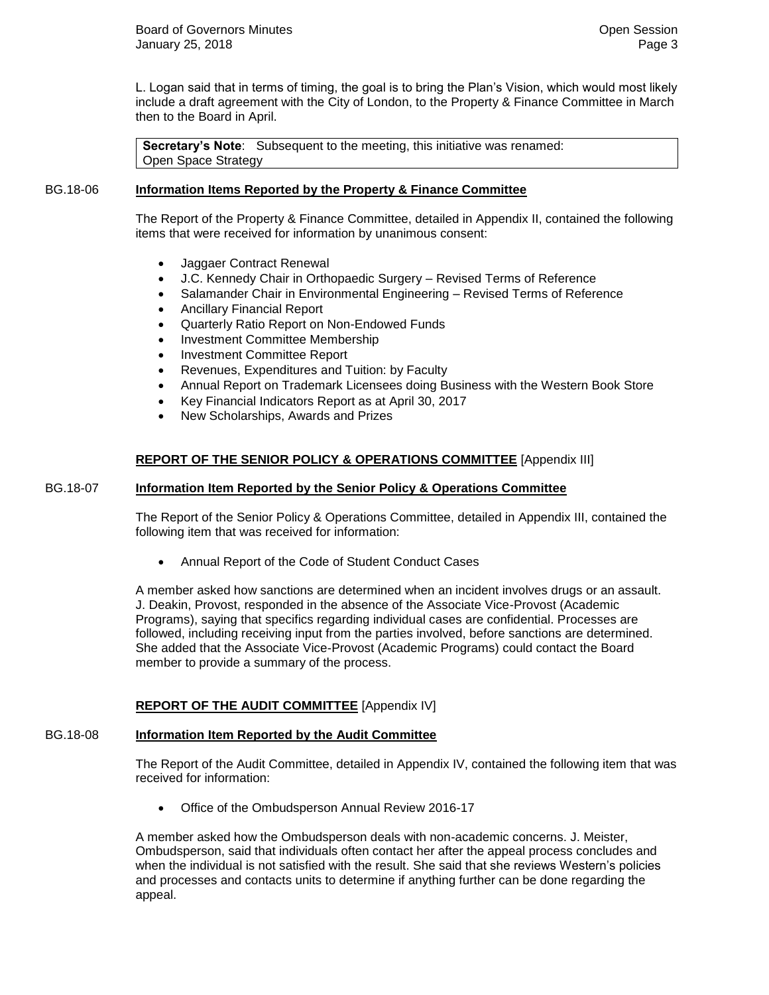L. Logan said that in terms of timing, the goal is to bring the Plan's Vision, which would most likely include a draft agreement with the City of London, to the Property & Finance Committee in March then to the Board in April.

**Secretary's Note:** Subsequent to the meeting, this initiative was renamed: Open Space Strategy

## BG.18-06 **Information Items Reported by the Property & Finance Committee**

The Report of the Property & Finance Committee, detailed in Appendix II, contained the following items that were received for information by unanimous consent:

- Jaggaer Contract Renewal
- J.C. Kennedy Chair in Orthopaedic Surgery Revised Terms of Reference
- Salamander Chair in Environmental Engineering Revised Terms of Reference
- Ancillary Financial Report
- Quarterly Ratio Report on Non-Endowed Funds
- Investment Committee Membership
- Investment Committee Report
- Revenues, Expenditures and Tuition: by Faculty
- Annual Report on Trademark Licensees doing Business with the Western Book Store
- Key Financial Indicators Report as at April 30, 2017
- New Scholarships, Awards and Prizes

## **REPORT OF THE SENIOR POLICY & OPERATIONS COMMITTEE** [Appendix III]

### BG.18-07 **Information Item Reported by the Senior Policy & Operations Committee**

The Report of the Senior Policy & Operations Committee, detailed in Appendix III, contained the following item that was received for information:

Annual Report of the Code of Student Conduct Cases

A member asked how sanctions are determined when an incident involves drugs or an assault. J. Deakin, Provost, responded in the absence of the Associate Vice-Provost (Academic Programs), saying that specifics regarding individual cases are confidential. Processes are followed, including receiving input from the parties involved, before sanctions are determined. She added that the Associate Vice-Provost (Academic Programs) could contact the Board member to provide a summary of the process.

### **REPORT OF THE AUDIT COMMITTEE** [Appendix IV]

### BG.18-08 **Information Item Reported by the Audit Committee**

The Report of the Audit Committee, detailed in Appendix IV, contained the following item that was received for information:

Office of the Ombudsperson Annual Review 2016-17

A member asked how the Ombudsperson deals with non-academic concerns. J. Meister, Ombudsperson, said that individuals often contact her after the appeal process concludes and when the individual is not satisfied with the result. She said that she reviews Western's policies and processes and contacts units to determine if anything further can be done regarding the appeal.